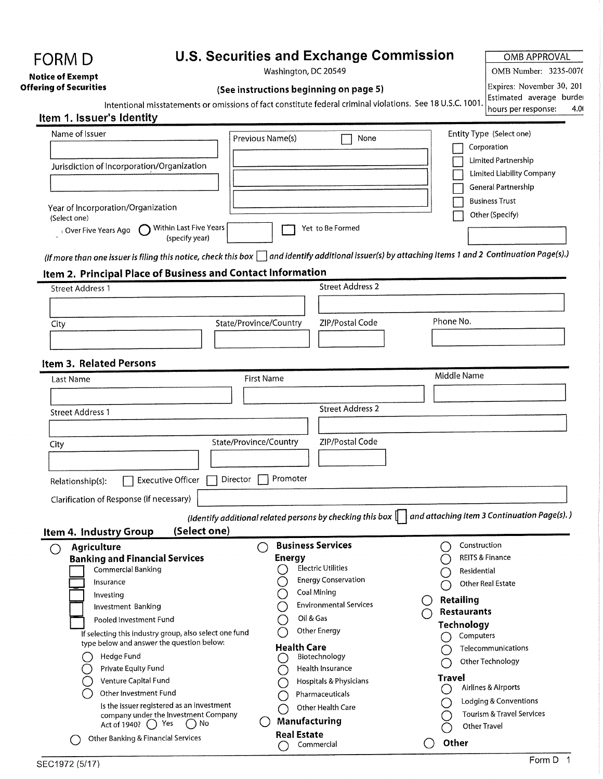| (Select one) |                                                       |
|--------------|-------------------------------------------------------|
|              | Over Five Years Ago $\bigcirc$ Within Last Five Years |
| w            | (snecify year)                                        |

**Item 1. Issuer's Identity** 

Jurisdiction of Incorporation/Organization

Year of Incorporation/Organization

Name of Issuer

**Notice of Exempt<br>Offering of Securities** 

# *(If more than one issuer is filing this notice, check this box and identify additional issuer(s) by attaching Items 1 and 2 Continuation Page(s).)*

Yet to Be Formed

# **Item 2. Principal Place of Business and Contact Information**

(specify year)

| <b>Street Address 1</b>                                                 |                                                     | <b>Street Address 2</b>       |                                                                                                               |
|-------------------------------------------------------------------------|-----------------------------------------------------|-------------------------------|---------------------------------------------------------------------------------------------------------------|
|                                                                         |                                                     |                               |                                                                                                               |
| City                                                                    | State/Province/Country                              | ZIP/Postal Code               | Phone No.                                                                                                     |
|                                                                         |                                                     |                               |                                                                                                               |
| Item 3. Related Persons                                                 |                                                     |                               |                                                                                                               |
| Last Name                                                               | <b>First Name</b>                                   |                               | Middle Name                                                                                                   |
|                                                                         |                                                     |                               |                                                                                                               |
| <b>Street Address 1</b>                                                 |                                                     | <b>Street Address 2</b>       |                                                                                                               |
|                                                                         |                                                     |                               |                                                                                                               |
| City                                                                    | State/Province/Country                              | <b>ZIP/Postal Code</b>        |                                                                                                               |
|                                                                         |                                                     |                               |                                                                                                               |
| <b>Executive Officer</b><br>Relationship(s):                            | Promoter<br>Director                                |                               |                                                                                                               |
| Clarification of Response (if necessary)                                |                                                     |                               |                                                                                                               |
|                                                                         |                                                     |                               | (Identify additional related persons by checking this box $\ \; $ and attaching Item 3 Continuation Page(s).) |
| (Select one)<br>Item 4. Industry Group                                  |                                                     |                               |                                                                                                               |
| Agriculture<br>( )                                                      | $\bigcirc$                                          | <b>Business Services</b>      | Construction                                                                                                  |
| <b>Banking and Financial Services</b>                                   | <b>Energy</b>                                       |                               | <b>REITS &amp; Finance</b>                                                                                    |
| Commercial Banking                                                      |                                                     | <b>Electric Utilities</b>     | Residential                                                                                                   |
| Insurance                                                               |                                                     | <b>Energy Conservation</b>    |                                                                                                               |
|                                                                         |                                                     |                               | <b>Other Real Estate</b>                                                                                      |
| Investing                                                               |                                                     | Coal Mining                   | Retailing                                                                                                     |
| Investment Banking                                                      |                                                     | <b>Environmental Services</b> | <b>Restaurants</b>                                                                                            |
| Pooled Investment Fund                                                  |                                                     | Oil & Gas                     | Technology                                                                                                    |
| If selecting this industry group, also select one fund                  |                                                     | Other Energy                  | Computers                                                                                                     |
| type below and answer the question below:                               | <b>Health Care</b>                                  |                               | Telecommunications                                                                                            |
| Hedge Fund                                                              |                                                     | Biotechnology                 | Other Technology                                                                                              |
| Private Equity Fund                                                     | $\left( \begin{array}{c} \cdot \end{array} \right)$ | Health Insurance              | Travel                                                                                                        |
| Venture Capital Fund<br>Other Investment Fund                           |                                                     | Hospitals & Physicians        | Airlines & Airports                                                                                           |
| Is the issuer registered as an investment                               |                                                     | Pharmaceuticals               | Lodging & Conventions                                                                                         |
| company under the Investment Company<br>Act of 1940? () Yes<br>$( )$ No | Manufacturing                                       | Other Health Care             | <b>Tourism &amp; Travel Services</b><br><b>Other Travel</b>                                                   |

# FORM D **U.S. Securities and Exchange Commission**<br>
Washington, DC 20549

(See instructions beginning on page 5)

Intentional misstatements or omissions of fact constitute federal criminal violations. See 18 U.S.C. 1001.

Previous Name(s)  $\Box$  None

OMB APPROVAL OMB Number: 3235-007f

Expires: November 30, 201

Estimated average burdel hours per response: 4.01

Entity Type (Select one) Corporation LI Limited Partnership Limited Liability Company General Partnership **Business Trust** Other (Specify)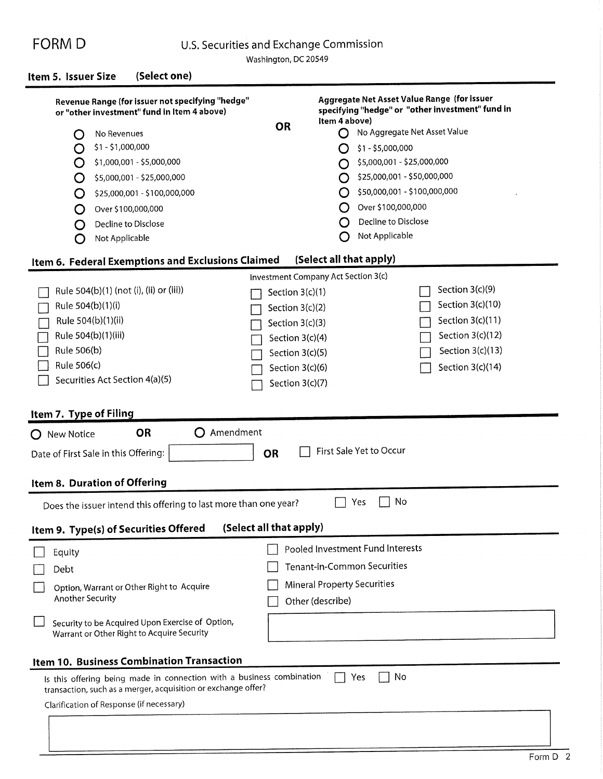Washington, DC 20549

# **Item 5. Issuer Size (Select one)**

| Revenue Range (for issuer not specifying "hedge"<br>or "other investment" fund in Item 4 above)<br>No Revenues<br>O<br>$$1 - $1,000,000$<br>O<br>\$1,000,001 - \$5,000,000<br>O<br>\$5,000,001 - \$25,000,000<br>( )<br>\$25,000,001 - \$100,000,000<br>O<br>Over \$100,000,000<br>Ő<br>Decline to Disclose<br>( )<br>Not Applicable<br>O<br>Item 6. Federal Exemptions and Exclusions Claimed | <b>Aggregate Net Asset Value Range (for issuer</b><br>specifying "hedge" or "other investment" fund in<br>Item 4 above)<br><b>OR</b><br>No Aggregate Net Asset Value<br>O<br>$$1 - $5,000,000$<br>( )<br>\$5,000,001 - \$25,000,000<br>O<br>\$25,000,001 - \$50,000,000<br>O<br>\$50,000,001 - \$100,000,000<br>O<br>Over \$100,000,000<br>( )<br>Decline to Disclose<br>O<br>Not Applicable<br>O<br>(Select all that apply) |  |  |  |
|------------------------------------------------------------------------------------------------------------------------------------------------------------------------------------------------------------------------------------------------------------------------------------------------------------------------------------------------------------------------------------------------|------------------------------------------------------------------------------------------------------------------------------------------------------------------------------------------------------------------------------------------------------------------------------------------------------------------------------------------------------------------------------------------------------------------------------|--|--|--|
| Rule 504(b)(1) (not (i), (ii) or (iii))<br>Rule 504(b)(1)(i)<br>Rule 504(b)(1)(ii)<br>Rule 504(b)(1)(iii)<br>Rule 506(b)<br>Rule 506(c)<br>Securities Act Section 4(a)(5)<br>Item 7. Type of Filing                                                                                                                                                                                            | Investment Company Act Section 3(c)<br>Section 3(c)(9)<br>Section $3(c)(1)$<br>Section 3(c)(10)<br>Section $3(c)(2)$<br>Section $3(c)(11)$<br>Section $3(c)(3)$<br>Section $3(c)(12)$<br>Section $3(c)(4)$<br>Section 3(c)(13)<br>Section $3(c)(5)$<br>Section 3(c)(14)<br>Section $3(c)(6)$<br>Section $3(c)(7)$                                                                                                            |  |  |  |
| O Amendment<br><b>OR</b><br><b>New Notice</b><br>O<br>Date of First Sale in this Offering:<br>Item 8. Duration of Offering                                                                                                                                                                                                                                                                     | First Sale Yet to Occur<br><b>OR</b>                                                                                                                                                                                                                                                                                                                                                                                         |  |  |  |
| No<br>Yes<br>Does the issuer intend this offering to last more than one year?<br>(Select all that apply)<br>Item 9. Type(s) of Securities Offered                                                                                                                                                                                                                                              |                                                                                                                                                                                                                                                                                                                                                                                                                              |  |  |  |
| Equity<br>Debt<br>Option, Warrant or Other Right to Acquire<br><b>Another Security</b><br>Security to be Acquired Upon Exercise of Option,<br>Warrant or Other Right to Acquire Security<br>Item 10. Business Combination Transaction                                                                                                                                                          | Pooled Investment Fund Interests<br>Tenant-in-Common Securities<br><b>Mineral Property Securities</b><br>Other (describe)                                                                                                                                                                                                                                                                                                    |  |  |  |
| Is this offering being made in connection with a business combination<br>transaction, such as a merger, acquisition or exchange offer?<br>Clarification of Response (if necessary)                                                                                                                                                                                                             | No<br>Yes                                                                                                                                                                                                                                                                                                                                                                                                                    |  |  |  |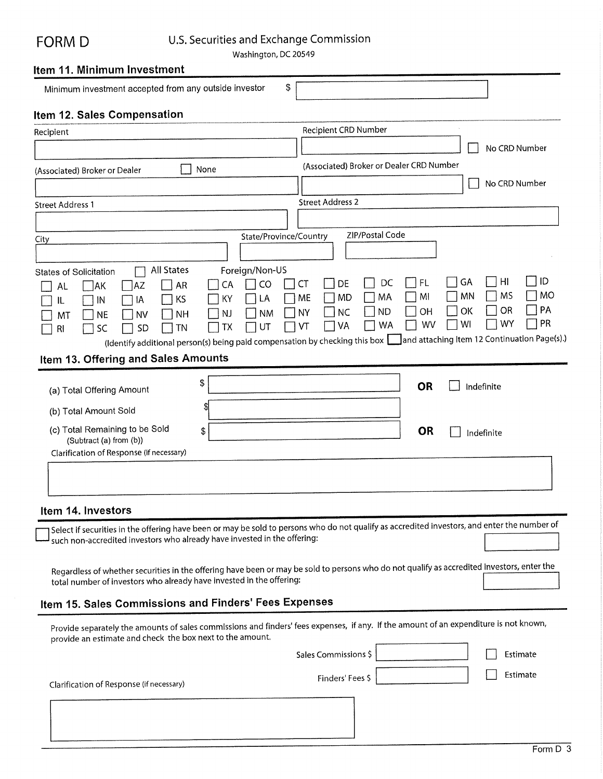Washington, DC 20549

| Item 11. Minimum Investment                                                                                                                                                                                                                                                                                                 |                                                                                                                                                                                                                                                                                                                                                         |
|-----------------------------------------------------------------------------------------------------------------------------------------------------------------------------------------------------------------------------------------------------------------------------------------------------------------------------|---------------------------------------------------------------------------------------------------------------------------------------------------------------------------------------------------------------------------------------------------------------------------------------------------------------------------------------------------------|
| Minimum investment accepted from any outside investor                                                                                                                                                                                                                                                                       | \$                                                                                                                                                                                                                                                                                                                                                      |
| Item 12. Sales Compensation                                                                                                                                                                                                                                                                                                 |                                                                                                                                                                                                                                                                                                                                                         |
| Recipient                                                                                                                                                                                                                                                                                                                   | <b>Recipient CRD Number</b>                                                                                                                                                                                                                                                                                                                             |
|                                                                                                                                                                                                                                                                                                                             | No CRD Number                                                                                                                                                                                                                                                                                                                                           |
| None<br>(Associated) Broker or Dealer                                                                                                                                                                                                                                                                                       | (Associated) Broker or Dealer CRD Number                                                                                                                                                                                                                                                                                                                |
|                                                                                                                                                                                                                                                                                                                             | No CRD Number                                                                                                                                                                                                                                                                                                                                           |
| <b>Street Address 1</b>                                                                                                                                                                                                                                                                                                     | <b>Street Address 2</b>                                                                                                                                                                                                                                                                                                                                 |
|                                                                                                                                                                                                                                                                                                                             |                                                                                                                                                                                                                                                                                                                                                         |
| State/Province/Country<br>City                                                                                                                                                                                                                                                                                              | ZIP/Postal Code                                                                                                                                                                                                                                                                                                                                         |
|                                                                                                                                                                                                                                                                                                                             |                                                                                                                                                                                                                                                                                                                                                         |
| Foreign/Non-US<br><b>All States</b><br><b>States of Solicitation</b><br>CO<br><b>AR</b><br>CA<br>∏AZ<br><b>JAK</b><br>AL<br>LA<br>KS<br>ΚY<br>IA<br>IN<br><b>NM</b><br><b>NJ</b><br><b>NH</b><br><b>NV</b><br><b>NE</b><br>MT<br>TX<br>UT<br><b>TN</b><br>SD<br>SC<br>R <sub>1</sub><br>Item 13. Offering and Sales Amounts | ID<br>H <sub>l</sub><br>GA<br>FL<br>DC<br>DE<br>СT<br><b>MS</b><br>MО<br>MN<br>M<br>MA<br><b>MD</b><br>ME<br>PA<br>OR<br>OK<br><b>ND</b><br>OH<br><b>NC</b><br>NY<br><b>WY</b><br>PR<br>WI<br>WV<br><b>WA</b><br>VA<br>VТ<br>(Identify additional person(s) being paid compensation by checking this box   and attaching Item 12 Continuation Page(s).) |
|                                                                                                                                                                                                                                                                                                                             |                                                                                                                                                                                                                                                                                                                                                         |
| \$<br>(a) Total Offering Amount                                                                                                                                                                                                                                                                                             | <b>OR</b><br>Indefinite                                                                                                                                                                                                                                                                                                                                 |
| \$<br>(b) Total Amount Sold                                                                                                                                                                                                                                                                                                 |                                                                                                                                                                                                                                                                                                                                                         |
| (c) Total Remaining to be Sold<br>\$<br>(Subtract (a) from (b))<br>Clarification of Response (if necessary)                                                                                                                                                                                                                 | <b>OR</b><br>Indefinite                                                                                                                                                                                                                                                                                                                                 |
|                                                                                                                                                                                                                                                                                                                             |                                                                                                                                                                                                                                                                                                                                                         |
| Item 14. Investors                                                                                                                                                                                                                                                                                                          |                                                                                                                                                                                                                                                                                                                                                         |
| such non-accredited investors who already have invested in the offering:                                                                                                                                                                                                                                                    | Select if securities in the offering have been or may be sold to persons who do not qualify as accredited investors, and enter the number of                                                                                                                                                                                                            |
| total number of investors who already have invested in the offering:                                                                                                                                                                                                                                                        | Regardless of whether securities in the offering have been or may be sold to persons who do not qualify as accredited investors, enter the                                                                                                                                                                                                              |
| Item 15. Sales Commissions and Finders' Fees Expenses                                                                                                                                                                                                                                                                       |                                                                                                                                                                                                                                                                                                                                                         |
| provide an estimate and check the box next to the amount.                                                                                                                                                                                                                                                                   | Provide separately the amounts of sales commissions and finders' fees expenses, if any. If the amount of an expenditure is not known,                                                                                                                                                                                                                   |
|                                                                                                                                                                                                                                                                                                                             | Sales Commissions \$<br>Estimate                                                                                                                                                                                                                                                                                                                        |
| Clarification of Response (if necessary)                                                                                                                                                                                                                                                                                    | Estimate<br>Finders' Fees \$                                                                                                                                                                                                                                                                                                                            |
|                                                                                                                                                                                                                                                                                                                             |                                                                                                                                                                                                                                                                                                                                                         |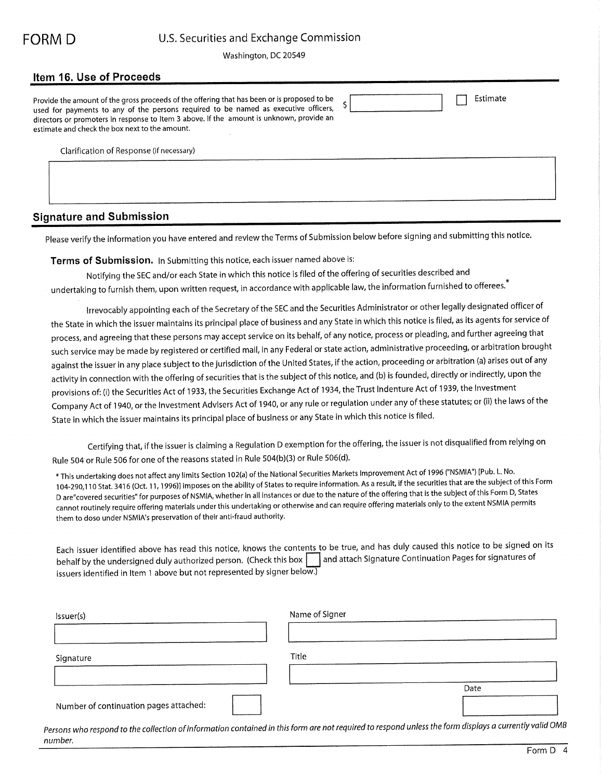Washington, DC 20549

#### Item 16. Use of Proceeds

Provide the amount of the gross proceeds of the offering that has been or is proposed to be used for payments to any of the persons required to be named as executive officers, directors or promoters in response to Item 3 above. If the amount is unknown, provide an estimate and check the box next to the amount.

Clarification of Response (if necessary)

#### Signature and Submission

Please verify the information you have entered and review the Terms of Submission below before signing and submitting this notice.

\$

Terms of Submission. In Submitting this notice, each issuer named above is:

Notifying the SEC and/or each State in which this notice is filed of the offering of securities described and undertaking to furnish them, upon written request, in accordance with applicable law, the information furnished to offerees.<sup>\*</sup>

Irrevocably appointing each of the Secretary of the SEC and the Securities Administrator or other legally designated officer of the State in which the issuer maintains its principal place of business and any State in which this notice is filed, as its agents for service of process, and agreeing that these persons may accept service on its behalf, of any notice, process or pleading, and further agreeing that such service may be made by registered or certified mail, in any Federal or state action, administrative proceeding, or arbitration brought against the issuer in any place subject to the jurisdiction of the United States, if the action, proceeding or arbitration (a) arises out of any activity in connection with the offering of securities that is the subject of this notice, and (b) is founded, directly or indirectly, upon the provisions of: (i) the Securities Act of 1933, the Securities Exchange Act of 1934, the Trust Indenture Act of 1939, the Investment Company Act of 1940, or the Investment Advisers Act of 1940, or any rule or regulation under any of these statutes; or (ii) the laws of the State in which the issuer maintains its principal place of business or any State in which this notice is filed.

Certifying that, if the issuer is claiming a Regulation D exemption for the offering, the issuer is not disqualified from relying on Rule 504 or Rule 506 for one of the reasons stated in Rule 504(b)(3) or Rule 506(d).

\*This undertaking does not affect any limits Section 102(a) of the National Securities Markets Improvement Act of 1996 ("NSMIA") [Pub. L. No. 104-290,110 Stat. 3416 (Oct. 11, 1996)] imposes on the ability of States to require information. As a result, if the securities that are the subject of this Form D are"covered securities" for purposes of NSMIA, whether in all instances or due to the nature of the offering that is the subject of this Form D, States cannot routinely require offering materials under this undertaking or otherwise and can require offering materials only to the extent NSMIA permits them to doso under NSMIA's preservation of their anti-fraud authority.

Each issuer identified above has read this notice, knows the contents to be true, and has duly caused this notice to be signed on its behalf by the undersigned duly authorized person. (Check this box and attach Signature Continuation Pages for signatures of issuers identified in Item 1 above but not represented by signer below.)

| Issuer(s)                              | Name of Signer                                                                                                  |      |  |
|----------------------------------------|-----------------------------------------------------------------------------------------------------------------|------|--|
|                                        |                                                                                                                 |      |  |
| Signature                              | Title                                                                                                           |      |  |
|                                        |                                                                                                                 |      |  |
|                                        |                                                                                                                 | Date |  |
| Number of continuation pages attached: |                                                                                                                 |      |  |
|                                        | in the second contract of the second contract of the second in the form displays a currently valid Oil to the s |      |  |

*Persons who respond to the collection of information contained in this form are not required to respond unless the form displays a currently valid OMB number.* 

Estimate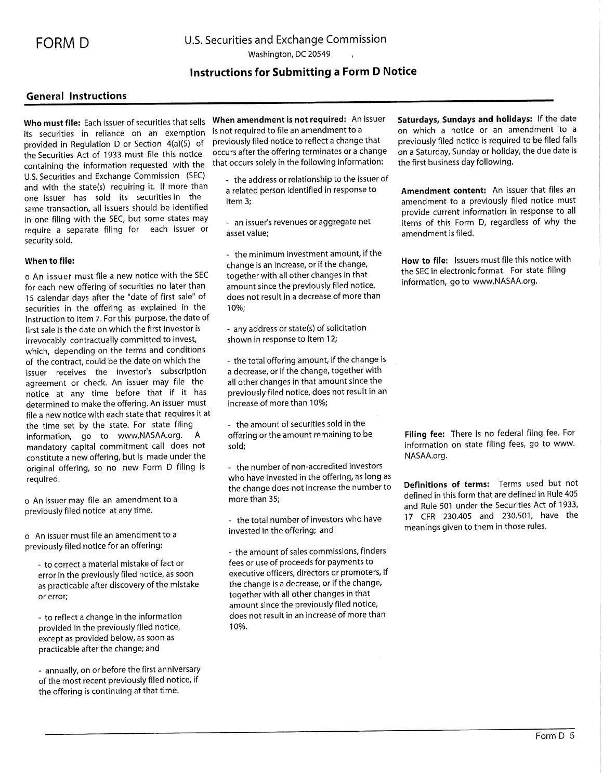## **Instructions for Submitting a Form D Notice**

#### **General Instructions**

**Who must file:** Each issuer of securities that sells its securities in reliance on an exemption provided in Regulation D or Section 4(a)(5) of the Securities Act of 1933 must file this notice containing the information requested with the U.S. Securities and Exchange Commission (SEC) and with the state(s) requiring it. If more than one issuer has sold its securities in the same transaction, all issuers should be identified in one filing with the SEC, but some states may require a separate filing for each issuer or security sold.

#### **When to file:**

o An issuer must file a new notice with the SEC for each new offering of securities no later than 15 calendar days after the "date of first sale" of securities in the offering as explained in the Instruction to Item 7. For this purpose, the date of first sale is the date on which the first investor is irrevocably contractually committed to invest, which, depending on the terms and conditions of the contract, could be the date on which the issuer receives the investor's subscription agreement or check. An issuer may file the notice at any time before that if it has determined to make the offering. An issuer must file a new notice with each state that requires it at the time set by the state. For state filing information, go to www.NASAA.org. A mandatory capital commitment call does not constitute a new offering, but is made under the original offering, so no new Form D filing is required.

o An issuer may file an amendment to a previously filed notice at any time.

o An issuer must file an amendment to a previously filed notice for an offering:

- to correct a material mistake of fact or error in the previously filed notice, as soon as practicable after discovery of the mistake or error;

- to reflect a change in the information provided in the previously filed notice, except as provided below, as soon as practicable after the change; and

- annually, on or before the first anniversary of the most recent previously filed notice, if the offering is continuing at that time.

**When amendment is not required:** An issuer is not required to file an amendment to a previously filed notice to reflect a change that occurs after the offering terminates or a change that occurs solely in the following information:

- the address or relationship to the issuer of a related person identified in response to Item 3;

- an issuer's revenues or aggregate net asset value;

- the minimum investment amount, if the change is an increase, or if the change, together with all other changes in that amount since the previously filed notice, does not result in a decrease of more than 10%;

- any address or state(s) of solicitation shown in response to Item 12;

- the total offering amount, if the change is a decrease, or if the change, together with all other changes in that amount since the previously filed notice, does not result in an increase of more than 10%;

- the amount of securities sold in the offering or the amount remaining to be sold;

- the number of non-accredited investors who have invested in the offering, as long as the change does not increase the number to more than 35;

the total number of investors who have invested in the offering; and

- the amount of sales commissions, finders' fees or use of proceeds for payments to executive officers, directors or promoters, if the change is a decrease, or if the change, together with all other changes in that amount since the previously filed notice, does not result in an increase of more than 10%.

**Saturdays, Sundays and holidays:** If the date on which a notice or an amendment to a previously filed notice is required to be filed falls on a Saturday, Sunday or holiday, the due date is the first business day following.

**Amendment content:** An issuer that files an amendment to a previously filed notice must provide current information in response to all items of this Form D, regardless of why the amendment is filed.

**How to file:** Issuers must file this notice with the SEC in electronic format. For state filing information, go to www.NASAA.org.

**Filing fee:** There is no federal fiing fee. For information on state filing fees, go to www, NASAA.org.

**Definitions of terms:** Terms used but not defined in this form that are defined in Rule 405 and Rule 501 under the Securities Act of 1933, 17 CFR 230.405 and 230.501, have the meanings given to them in those rules.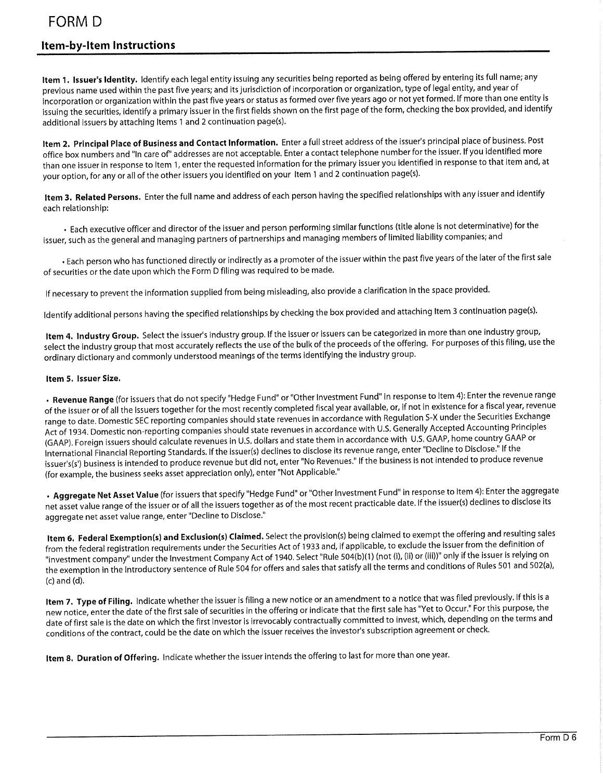#### **Item-by-Item Instructions**

**Item 1. Issuer's Identity.** Identify each legal entity issuing any securities being reported as being offered by entering its full name; any previous name used within the past five years; and its jurisdiction of incorporation or organization, type of legal entity, and year of incorporation or organization within the past five years or status as formed over five years ago or not yet formed. If more than one entity is issuing the securities, identify a primary issuer in the first fields shown on the first page of the form, checking the box provided, and identify additional issuers by attaching Items 1 and 2 continuation page(s).

**Item 2, Principal Place of Business and Contact Information.** Enter a full street address of the issuer's principal place of business. Post office box numbers and "In care of' addresses are not acceptable. Enter a contact telephone number for the issuer. If you identified more than one issuer in response to Item 1, enter the requested information for the primary issuer you identified in response to that item and, at your option, for any or all of the other issuers you identified on your Item 1 and 2 continuation page(s).

**Item 3. Related Persons.** Enter the full name and address of each person having the specified relationships with any issuer and identify each relationship:

• Each executive officer and director of the issuer and person performing similar functions (title alone is not determinative) for the issuer, such as the general and managing partners of partnerships and managing members of limited liability companies; and

• Each person who has functioned directly or indirectly as a promoter of the issuer within the past five years of the later of the first sale of securities or the date upon which the Form D filing was required to be made.

If necessary to prevent the information supplied from being misleading, also provide a clarification in the space provided.

Identify additional persons having the specified relationships by checking the box provided and attaching Item 3 continuation page(s).

**Item 4. Industry Group.** Select the issuer's industry group. If the issuer or issuers can be categorized in more than one industry group, select the industry group that most accurately reflects the use of the bulk of the proceeds of the offering. For purposes of this filing, use the ordinary dictionary and commonly understood meanings of the terms identifying the industry group.

#### **Item 5. Issuer Size.**

**• Revenue Range** (for issuers that do not specify "Hedge Fund" or "Other Investment Fund" in response to Item 4): Enter the revenue range of the issuer or of all the issuers together for the most recently completed fiscal year available, or, if not in existence for a fiscal year, revenue range to date. Domestic SEC reporting companies should state revenues in accordance with Regulation S-X under the Securities Exchange Act of 1934. Domestic non-reporting companies should state revenues in accordance with U.S. Generally Accepted Accounting Principles (GAAP). Foreign issuers should calculate revenues in U.S. dollars and state them in accordance with U.S. GAAP, home country GAAP or International Financial Reporting Standards. If the issuer(s) declines to disclose its revenue range, enter "Decline to Disclose." If the issuer's(s') business is intended to produce revenue but did not, enter "No Revenues." If the business is not intended to produce revenue (for example, the business seeks asset appreciation only), enter "Not Applicable."

**• Aggregate Net Asset Value** (for issuers that specify "Hedge Fund" or "Other Investment Fund" in response to Item 4): Enter the aggregate net asset value range of the issuer or of all the issuers together as of the most recent practicable date. If the issuer(s) declines to disclose its aggregate net asset value range, enter "Decline to Disclose."

**Item 6. Federal Exemption(s) and Exclusion(s) Claimed.** Select the provision(s) being claimed to exempt the offering and resulting sales from the federal registration requirements under the Securities Act of 1933 and, if applicable, to exclude the issuer from the definition of "investment company" under the Investment Company Act of 1940. Select "Rule 504(b)(1) (not (i), (ii) or (iii))" only if the issuer is relying on the exemption in the introductory sentence of Rule 504 for offers and sales that satisfy all the terms and conditions of Rules 501 and 502(a), (c) and (d).

**Item 7. Type of Filing.** Indicate whether the issuer is filing a new notice or an amendment to a notice that was filed previously. If this is a new notice, enter the date of the first sale of securities in the offering or indicate that the first sale has "Yet to Occur." For this purpose, the date of first sale is the date on which the first investor is irrevocably contractually committed to invest, which, depending on the terms and conditions of the contract, could be the date on which the issuer receives the investor's subscription agreement or check.

**Item 8. Duration of Offering.** Indicate whether the issuer intends the offering to last for more than one year.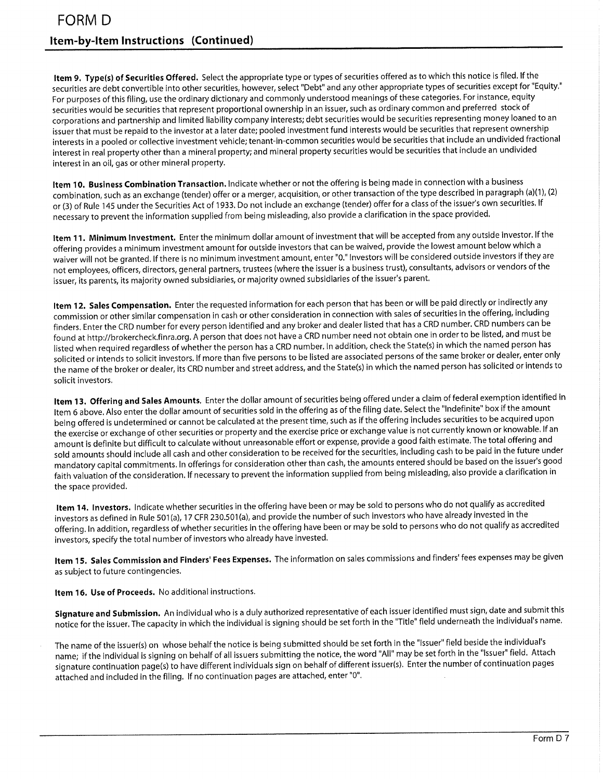Item 9. Type(s) of Securities Offered. Select the appropriate type or types of securities offered as to which this notice is filed. If the securities are debt convertible into other securities, however, select "Debt" and any other appropriate types of securities except for "Equity." For purposes of this filing, use the ordinary dictionary and commonly understood meanings of these categories. For instance, equity securities would be securities that represent proportional ownership in an issuer, such as ordinary common and preferred stock of corporations and partnership and limited liability company interests; debt securities would be securities representing money loaned to an issuer that must be repaid to the investor at a later date; pooled investment fund interests would be securities that represent ownership interests in a pooled or collective investment vehicle; tenant-in-common securities would be securities that include an undivided fractional interest in real property other than a mineral property; and mineral property securities would be securities that include an undivided interest in an oil, gas or other mineral property.

Item 10. Business Combination Transaction. Indicate whether or not the offering is being made in connection with a business combination, such as an exchange (tender) offer or a merger, acquisition, or other transaction of the type described in paragraph (a)(1), (2) or (3) of Rule 145 under the Securities Act of 1933. Do not include an exchange (tender) offer for a class of the issuer's own securities, If necessary to prevent the information supplied from being misleading, also provide a clarification in the space provided.

Item 11. Minimum Investment. Enter the minimum dollar amount of investment that will be accepted from any outside investor. If the offering provides a minimum investment amount for outside investors that can be waived, provide the lowest amount below which a waiver will not be granted. If there is no minimum investment amount, enter "O." Investors will be considered outside investors if they are not employees, officers, directors, general partners, trustees (where the issuer is a business trust), consultants, advisors or vendors of the issuer, its parents, its majority owned subsidiaries, or majority owned subsidiaries of the issuer's parent.

Item 12. Sales Compensation. Enter the requested information for each person that has been or will be paid directly or indirectly any commission or other similar compensation in cash or other consideration in connection with sales of securities in the offering, including finders, Enter the CRD number for every person identified and any broker and dealer listed that has a CRD number. CRD numbers can be found at http://brokercheck.finra.org. A person that does not have a CRD number need not obtain one in order to be listed, and must be listed when required regardless of whether the person has a CRD number. In addition, check the State(s) in which the named person has solicited or intends to solicit investors. If more than five persons to be listed are associated persons of the same broker or dealer, enter only the name of the broker or dealer, its CRD number and street address, and the State(s) in which the named person has solicited or intends to solicit investors.

Item 13. Offering and Sales Amounts, Enter the dollar amount of securities being offered under a claim of federal exemption identified in Item 6 above, Also enter the dollar amount of securities sold in the offering as of the filing date. Select the "Indefinite" box if the amount being offered is undetermined or cannot be calculated at the present time, such as if the offering includes securities to be acquired upon the exercise or exchange of other securities or property and the exercise price or exchange value is not currently known or knowable. If an amount is definite but difficult to calculate without unreasonable effort or expense, provide a good faith estimate. The total offering and sold amounts should include all cash and other consideration to be received for the securities, including cash to be paid in the future under mandatory capital commitments, In offerings for consideration other than cash, the amounts entered should be based on the issuer's good faith valuation of the consideration. If necessary to prevent the information supplied from being misleading, also provide a clarification in the space provided.

Item 14. Investors. Indicate whether securities in the offering have been or may be sold to persons who do not qualify as accredited investors as defined in Rule 501(a), 17 CFR 230.501(a), and provide the number of such investors who have already invested in the offering. In addition, regardless of whether securities in the offering have been or may be sold to persons who do not qualify as accredited investors, specify the total number of investors who already have invested.

Item 15. Sales Commission and Finders' Fees Expenses. The information on sales commissions and finders' fees expenses may be given as subject to future contingencies.

Item 16. Use of Proceeds. No additional instructions.

Signature and Submission. An individual who is a duly authorized representative of each issuer identified must sign, date and submit this notice for the issuer. The capacity in which the individual is signing should be set forth in the "Title" field underneath the individual's name,

The name of the issuer(s) on whose behalf the notice is being submitted should be set forth in the "Issuer" field beside the individual's name; if the individual is signing on behalf of all issuers submitting the notice, the word "All" may be set forth in the "Issuer" field. Attach signature continuation page(s) to have different individuals sign on behalf of different issuer(s). Enter the number of continuation pages attached and included in the filing. If no continuation pages are attached, enter "0".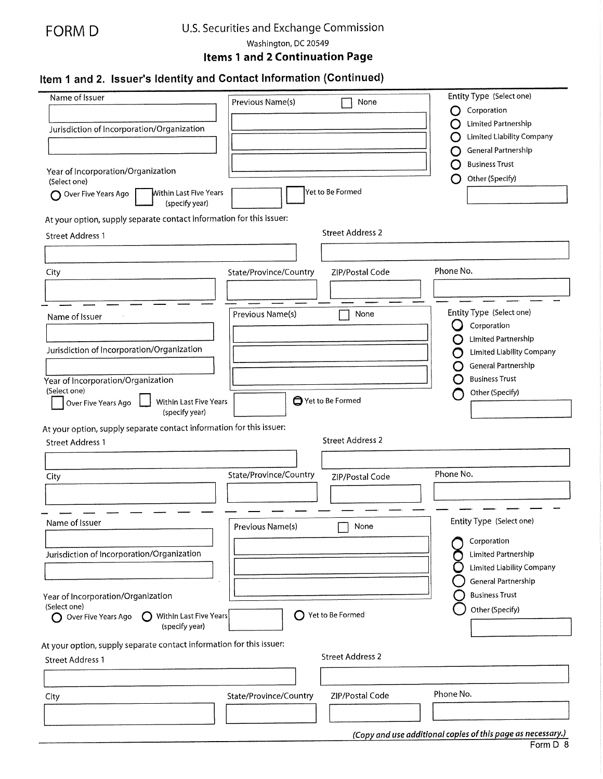Washington, DC 20549

**Items 1 and 2 Continuation Page** 

# Item 1 and 2. Issuer's Identity and Contact Information (Continued)

| Name of Issuer                                                           | Previous Name(s)<br>None                  | Entity Type (Select one)                 |
|--------------------------------------------------------------------------|-------------------------------------------|------------------------------------------|
|                                                                          |                                           | Corporation                              |
| Jurisdiction of Incorporation/Organization                               |                                           | <b>Limited Partnership</b>               |
|                                                                          |                                           | <b>Limited Liability Company</b>         |
|                                                                          |                                           | General Partnership                      |
| Year of Incorporation/Organization<br>(Select one)                       |                                           | <b>Business Trust</b><br>Other (Specify) |
| <b>Within Last Five Years</b><br>O Over Five Years Ago<br>(specify year) | Yet to Be Formed                          |                                          |
| At your option, supply separate contact information for this issuer:     |                                           |                                          |
| <b>Street Address 1</b>                                                  | <b>Street Address 2</b>                   |                                          |
|                                                                          |                                           |                                          |
| City                                                                     | State/Province/Country<br>ZIP/Postal Code | Phone No.                                |
|                                                                          |                                           |                                          |
|                                                                          |                                           |                                          |
| Name of Issuer                                                           | Previous Name(s)<br>None                  | Entity Type (Select one)                 |
|                                                                          |                                           | Corporation<br>O                         |
|                                                                          |                                           | <b>Limited Partnership</b><br>( )        |
| Jurisdiction of Incorporation/Organization                               |                                           | Limited Liability Company                |
|                                                                          |                                           | General Partnership                      |
| Year of Incorporation/Organization                                       |                                           | <b>Business Trust</b>                    |
| (Select one)<br><b>Within Last Five Years</b><br>Over Five Years Ago     | Yet to Be Formed                          | Other (Specify)                          |
| (specify year)                                                           |                                           |                                          |
| At your option, supply separate contact information for this issuer:     |                                           |                                          |
| <b>Street Address 1</b>                                                  | <b>Street Address 2</b>                   |                                          |
|                                                                          |                                           |                                          |
|                                                                          | State/Province/Country<br>ZIP/Postal Code | Phone No.                                |
| City                                                                     |                                           |                                          |
|                                                                          |                                           |                                          |
|                                                                          |                                           |                                          |
| Name of Issuer                                                           | Previous Name(s)<br>$\Box$ None           | Entity Type (Select one)                 |
|                                                                          |                                           | Corporation                              |
| Jurisdiction of Incorporation/Organization                               |                                           | Limited Partnership                      |
|                                                                          |                                           | <b>Limited Liability Company</b>         |
|                                                                          |                                           | General Partnership                      |
| Year of Incorporation/Organization                                       |                                           | <b>Business Trust</b>                    |
| (Select one)<br>Within Last Five Years<br>O Over Five Years Ago          | Yet to Be Formed<br>0                     | Other (Specify)                          |
| (specify year)                                                           |                                           |                                          |
|                                                                          |                                           |                                          |
|                                                                          |                                           |                                          |
| <b>Street Address 1</b>                                                  | <b>Street Address 2</b>                   |                                          |
|                                                                          |                                           |                                          |
| At your option, supply separate contact information for this issuer:     |                                           |                                          |
| City                                                                     | ZIP/Postal Code<br>State/Province/Country | Phone No.                                |
|                                                                          |                                           |                                          |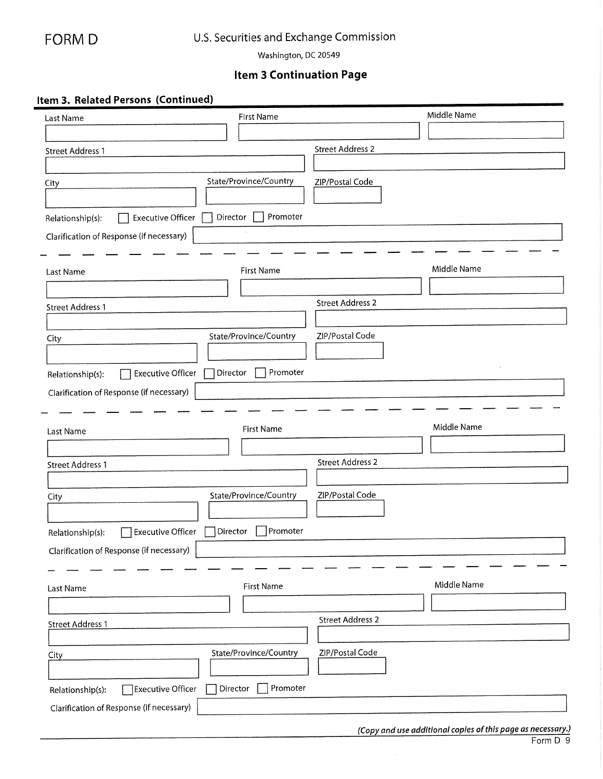

Washington, DC 20549

# **Item 3 Continuation Page**

# **Item 3. Related Persons (Continued)**

| Last Name                                    | <b>First Name</b>      |                         | Middle Name |
|----------------------------------------------|------------------------|-------------------------|-------------|
|                                              |                        |                         |             |
| <b>Street Address 1</b>                      |                        | <b>Street Address 2</b> |             |
|                                              |                        |                         |             |
| City                                         | State/Province/Country | ZIP/Postal Code         |             |
|                                              |                        |                         |             |
| <b>Executive Officer</b><br>Relationship(s): | Promoter<br>Director   |                         |             |
|                                              |                        |                         |             |
| Clarification of Response (if necessary)     |                        |                         |             |
|                                              |                        |                         |             |
| Last Name                                    | <b>First Name</b>      |                         | Middle Name |
|                                              |                        |                         |             |
| <b>Street Address 1</b>                      |                        | <b>Street Address 2</b> |             |
|                                              |                        |                         |             |
| City                                         | State/Province/Country | ZIP/Postal Code         |             |
|                                              |                        |                         |             |
| <b>Executive Officer</b><br>Relationship(s): | Promoter<br>Director   |                         |             |
| Clarification of Response (if necessary)     |                        |                         |             |
|                                              |                        |                         |             |
|                                              |                        |                         |             |
| Last Name                                    | <b>First Name</b>      |                         | Middle Name |
|                                              |                        |                         |             |
| <b>Street Address 1</b>                      |                        | <b>Street Address 2</b> |             |
|                                              |                        |                         |             |
| City                                         |                        |                         |             |
|                                              | State/Province/Country | ZIP/Postal Code         |             |
|                                              |                        |                         |             |
|                                              |                        |                         |             |
| <b>Executive Officer</b><br>Relationship(s): | Director<br>Promoter   |                         |             |
| Clarification of Response (if necessary)     |                        |                         |             |
|                                              |                        |                         |             |
| <b>Last Name</b>                             | <b>First Name</b>      |                         | Middle Name |
|                                              |                        |                         |             |
|                                              |                        | <b>Street Address 2</b> |             |
| <b>Street Address 1</b>                      |                        |                         |             |
|                                              |                        |                         |             |
| City                                         | State/Province/Country | ZIP/Postal Code         |             |
|                                              |                        |                         |             |
| <b>Executive Officer</b><br>Relationship(s): | Promoter<br>Director   |                         |             |
| Clarification of Response (if necessary)     |                        |                         |             |

 $\cdot$ 

Form D 9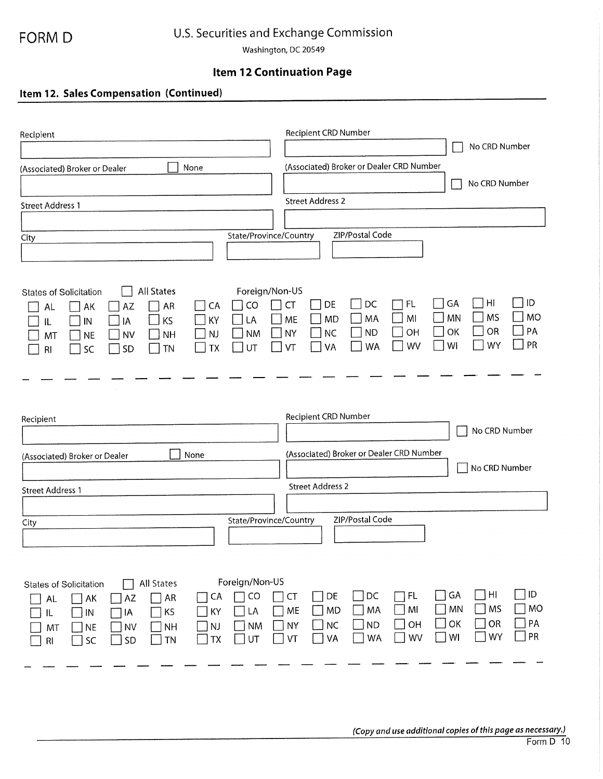Washington, DC 20549

## **Item 12 Continuation Page**

### **Item 12. Sales Compensation (Continued)**

| Recipient                                                                                                                                                                                                                                                                                       | <b>Recipient CRD Number</b><br>No CRD Number                                                                                                                                                                                                                                                                      |
|-------------------------------------------------------------------------------------------------------------------------------------------------------------------------------------------------------------------------------------------------------------------------------------------------|-------------------------------------------------------------------------------------------------------------------------------------------------------------------------------------------------------------------------------------------------------------------------------------------------------------------|
| None<br>(Associated) Broker or Dealer                                                                                                                                                                                                                                                           | (Associated) Broker or Dealer CRD Number<br>No CRD Number                                                                                                                                                                                                                                                         |
| <b>Street Address 1</b>                                                                                                                                                                                                                                                                         | <b>Street Address 2</b>                                                                                                                                                                                                                                                                                           |
| State/Province/Country<br>City                                                                                                                                                                                                                                                                  | ZIP/Postal Code                                                                                                                                                                                                                                                                                                   |
| Foreign/Non-US<br><b>All States</b><br><b>States of Solicitation</b><br>CO<br>CA<br><b>AR</b><br>AZ<br>AK<br><b>AL</b><br>KS<br>KY<br>LA<br>IA<br>IL<br>IN<br><b>NM</b><br><b>NJ</b><br><b>NV</b><br><b>NH</b><br>MT<br><b>NE</b><br>UT<br><b>TX</b><br><b>TN</b><br>SD<br>SC<br>R <sub>l</sub> | ID<br>H <sub>l</sub><br>GA<br>DC<br>FL<br>DE<br>CT<br><b>MS</b><br><b>MO</b><br><b>MN</b><br>MI<br>MA<br><b>MD</b><br><b>ME</b><br>OR<br>PA<br>OK<br>OH<br><b>ND</b><br><b>NY</b><br><b>NC</b><br>PR<br><b>WY</b><br>WI<br>WV<br>WA<br>VA<br>VT                                                                   |
| Recipient<br>None<br>(Associated) Broker or Dealer                                                                                                                                                                                                                                              | Recipient CRD Number<br>No CRD Number<br>(Associated) Broker or Dealer CRD Number<br>No CRD Number                                                                                                                                                                                                                |
| <b>Street Address 1</b>                                                                                                                                                                                                                                                                         | <b>Street Address 2</b>                                                                                                                                                                                                                                                                                           |
| State/Province/Country<br>City                                                                                                                                                                                                                                                                  | ZIP/Postal Code                                                                                                                                                                                                                                                                                                   |
| Foreign/Non-US<br>All States<br><b>States of Solicitation</b><br>CO<br>CA<br>AR<br>AK<br>$\Box$ AZ<br>AL<br>T LA<br>KY<br>KS<br>IA<br>IL<br>IN<br><b>NM</b><br>N<br><b>NH</b><br><b>NE</b><br><b>NV</b><br>MT<br>UT<br>TX<br>TN<br>SC<br>SD<br>R <sub>1</sub><br>$\mathbf{J}$                   | םו ∏<br>H <sub>l</sub><br><b>GA</b><br>DC<br>FL.<br>DE<br>CT<br>$\Box$<br>11<br><b>MO</b><br><b>MS</b><br>MN<br>ME<br><b>MD</b><br>MA<br>MI<br>PA<br>OR<br>OK<br>OH<br><b>NC</b><br><b>ND</b><br>$\Box$<br><b>NY</b><br>WY<br>PR<br>$\Box$<br>$\Box$ WI<br>WV<br><b>WA</b><br>VT<br>VA<br>$\sim$<br>$\mathcal{L}$ |

(Copy and use additional copies of this page as necessary.)